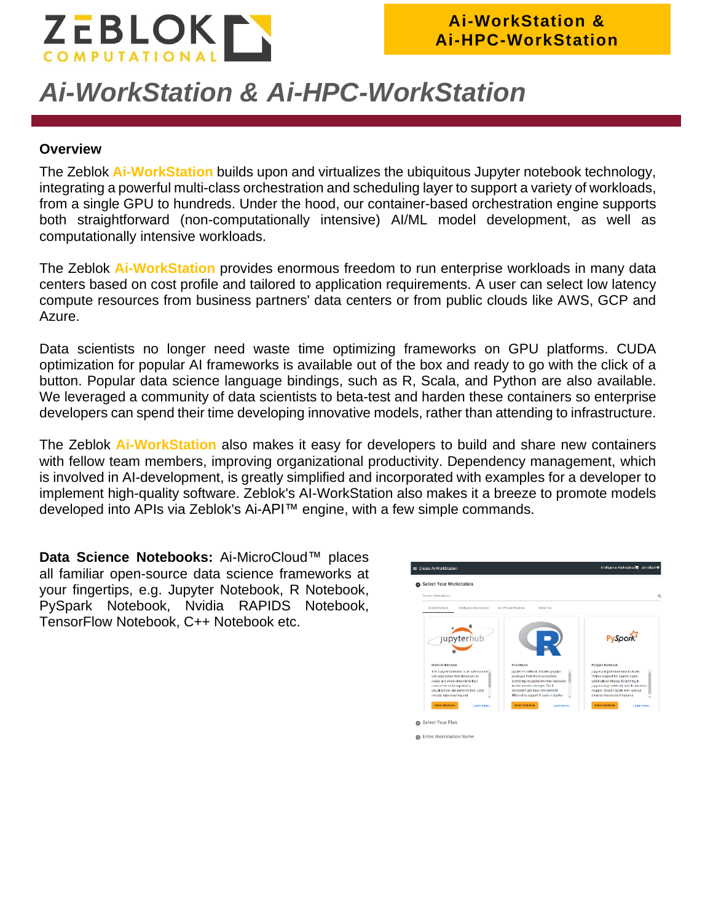

# *Ai-WorkStation & Ai-HPC-WorkStation*

#### **Overview**

The Zeblok **Ai-WorkStation** builds upon and virtualizes the ubiquitous Jupyter notebook technology, integrating a powerful multi-class orchestration and scheduling layer to support a variety of workloads, from a single GPU to hundreds. Under the hood, our container-based orchestration engine supports both straightforward (non-computationally intensive) AI/ML model development, as well as computationally intensive workloads.

The Zeblok **Ai-WorkStation** provides enormous freedom to run enterprise workloads in many data centers based on cost profile and tailored to application requirements. A user can select low latency compute resources from business partners' data centers or from public clouds like AWS, GCP and Azure.

Data scientists no longer need waste time optimizing frameworks on GPU platforms. CUDA optimization for popular AI frameworks is available out of the box and ready to go with the click of a button. Popular data science language bindings, such as R, Scala, and Python are also available. We leveraged a community of data scientists to beta-test and harden these containers so enterprise developers can spend their time developing innovative models, rather than attending to infrastructure.

The Zeblok **Ai-WorkStation** also makes it easy for developers to build and share new containers with fellow team members, improving organizational productivity. Dependency management, which is involved in AI-development, is greatly simplified and incorporated with examples for a developer to implement high-quality software. Zeblok's AI-WorkStation also makes it a breeze to promote models developed into APIs via Zeblok's Ai-API™ engine, with a few simple commands.

**Data Science Notebooks:** Ai-MicroCloud™ places all familiar open-source data science frameworks at your fingertips, e.g. Jupyter Notebook, R Notebook, PySpark Notebook, Nvidia RAPIDS Notebook, TensorFlow Notebook, C++ Notebook etc.

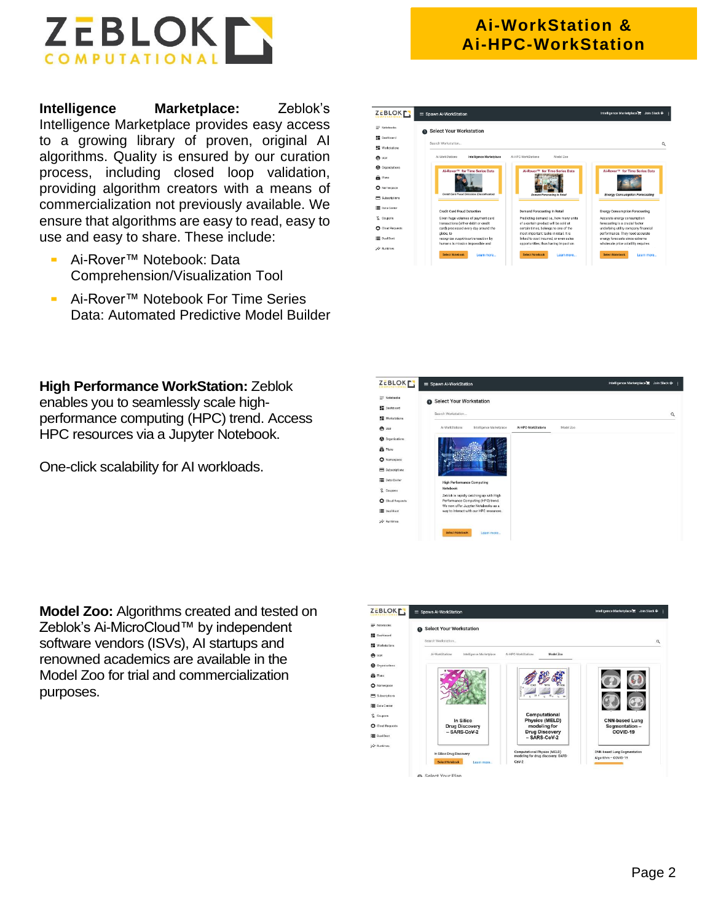

**Intelligence Marketplace:** Zeblok's Intelligence Marketplace provides easy access to a growing library of proven, original AI algorithms. Quality is ensured by our curation process, including closed loop validation, providing algorithm creators with a means of commercialization not previously available. We ensure that algorithms are easy to read, easy to use and easy to share. These include:

- Ai-Rover™ Notebook: Data Comprehension/Visualization Tool
- Ai-Rover™ Notebook For Time Series Data: Automated Predictive Model Builder

**High Performance WorkStation:** Zeblok enables you to seamlessly scale highperformance computing (HPC) trend. Access HPC resources via a Jupyter Notebook.

One-click scalability for AI workloads.

**Model Zoo:** Algorithms created and tested on Zeblok's Ai-MicroCloud™ by independent software vendors (ISVs), AI startups and renowned academics are available in the Model Zoo for trial and commercialization purposes.